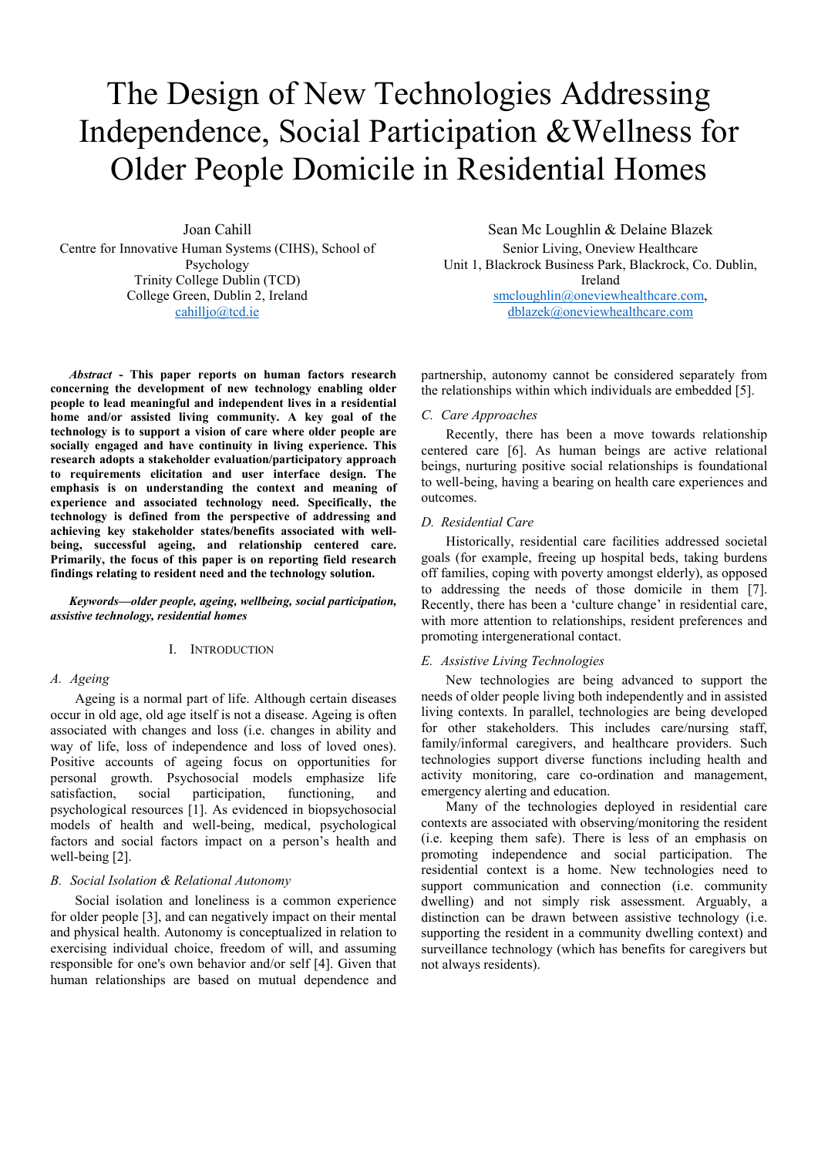# The Design of New Technologies Addressing Independence, Social Participation &Wellness for Older People Domicile in Residential Homes

Joan Cahill Centre for Innovative Human Systems (CIHS), School of Psychology Trinity College Dublin (TCD) College Green, Dublin 2, Ireland cahilljo@tcd.ie

*Abstract* **- This paper reports on human factors research concerning the development of new technology enabling older people to lead meaningful and independent lives in a residential home and/or assisted living community. A key goal of the technology is to support a vision of care where older people are socially engaged and have continuity in living experience. This research adopts a stakeholder evaluation/participatory approach to requirements elicitation and user interface design. The emphasis is on understanding the context and meaning of experience and associated technology need. Specifically, the technology is defined from the perspective of addressing and achieving key stakeholder states/benefits associated with wellbeing, successful ageing, and relationship centered care. Primarily, the focus of this paper is on reporting field research findings relating to resident need and the technology solution.** 

*Keywords—older people, ageing, wellbeing, social participation, assistive technology, residential homes* 

#### I. INTRODUCTION

#### *A. Ageing*

Ageing is a normal part of life. Although certain diseases occur in old age, old age itself is not a disease. Ageing is often associated with changes and loss (i.e. changes in ability and way of life, loss of independence and loss of loved ones). Positive accounts of ageing focus on opportunities for personal growth. Psychosocial models emphasize life satisfaction, social participation, functioning, and psychological resources [1]. As evidenced in biopsychosocial models of health and well-being, medical, psychological factors and social factors impact on a person's health and well-being [2].

#### *B. Social Isolation & Relational Autonomy*

Social isolation and loneliness is a common experience for older people [3], and can negatively impact on their mental and physical health. Autonomy is conceptualized in relation to exercising individual choice, freedom of will, and assuming responsible for one's own behavior and/or self [4]. Given that human relationships are based on mutual dependence and

Sean Mc Loughlin & Delaine Blazek Senior Living, Oneview Healthcare Unit 1, Blackrock Business Park, Blackrock, Co. Dublin, Ireland smcloughlin@oneviewhealthcare.com, dblazek@oneviewhealthcare.com

partnership, autonomy cannot be considered separately from the relationships within which individuals are embedded [5].

#### *C. Care Approaches*

Recently, there has been a move towards relationship centered care [6]. As human beings are active relational beings, nurturing positive social relationships is foundational to well-being, having a bearing on health care experiences and outcomes.

#### *D. Residential Care*

Historically, residential care facilities addressed societal goals (for example, freeing up hospital beds, taking burdens off families, coping with poverty amongst elderly), as opposed to addressing the needs of those domicile in them [7]. Recently, there has been a 'culture change' in residential care, with more attention to relationships, resident preferences and promoting intergenerational contact.

#### *E. Assistive Living Technologies*

New technologies are being advanced to support the needs of older people living both independently and in assisted living contexts. In parallel, technologies are being developed for other stakeholders. This includes care/nursing staff, family/informal caregivers, and healthcare providers. Such technologies support diverse functions including health and activity monitoring, care co-ordination and management, emergency alerting and education.

Many of the technologies deployed in residential care contexts are associated with observing/monitoring the resident (i.e. keeping them safe). There is less of an emphasis on promoting independence and social participation. The residential context is a home. New technologies need to support communication and connection (i.e. community dwelling) and not simply risk assessment. Arguably, a distinction can be drawn between assistive technology (i.e. supporting the resident in a community dwelling context) and surveillance technology (which has benefits for caregivers but not always residents).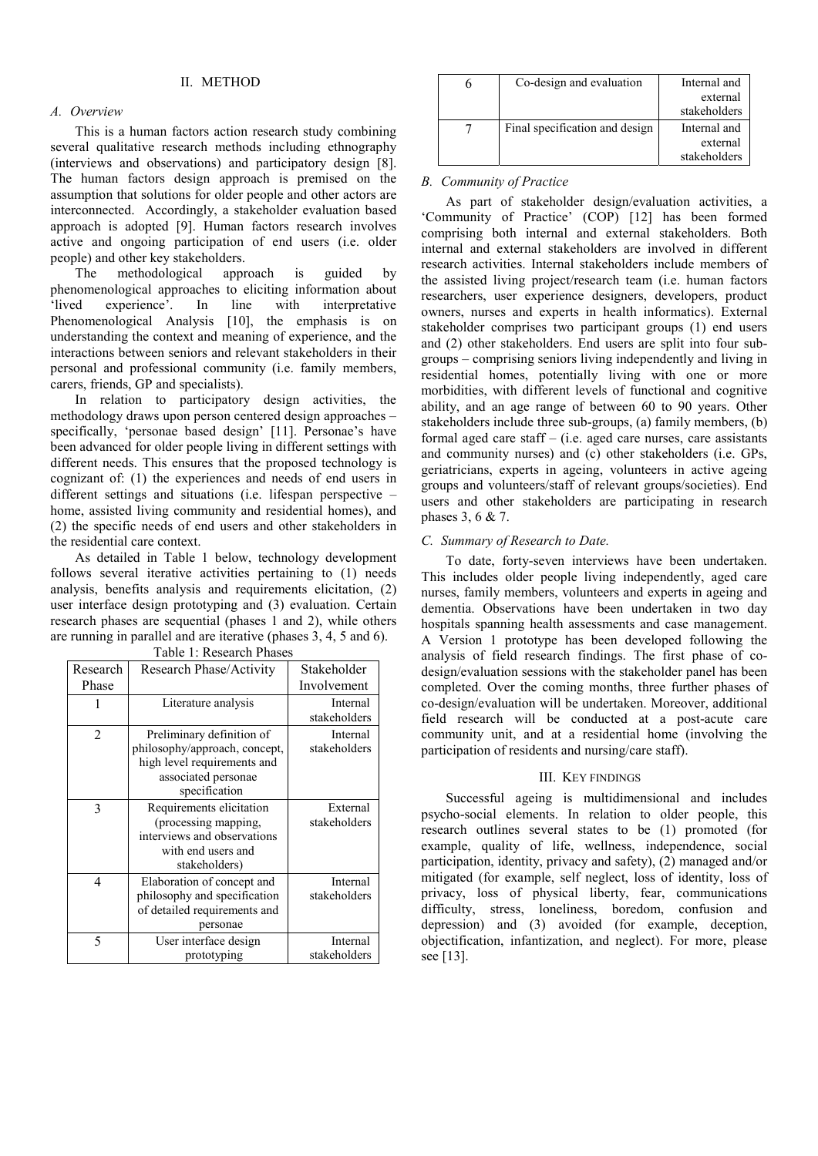## *A. Overview*

This is a human factors action research study combining several qualitative research methods including ethnography (interviews and observations) and participatory design [8]. The human factors design approach is premised on the assumption that solutions for older people and other actors are interconnected. Accordingly, a stakeholder evaluation based approach is adopted [9]. Human factors research involves active and ongoing participation of end users (i.e. older people) and other key stakeholders.

The methodological approach is guided by phenomenological approaches to eliciting information about 'lived experience'. In line with interpretative Phenomenological Analysis [10], the emphasis is on understanding the context and meaning of experience, and the interactions between seniors and relevant stakeholders in their personal and professional community (i.e. family members, carers, friends, GP and specialists).

In relation to participatory design activities, the methodology draws upon person centered design approaches – specifically, 'personae based design' [11]. Personae's have been advanced for older people living in different settings with different needs. This ensures that the proposed technology is cognizant of: (1) the experiences and needs of end users in different settings and situations (i.e. lifespan perspective – home, assisted living community and residential homes), and (2) the specific needs of end users and other stakeholders in the residential care context.

As detailed in Table 1 below, technology development follows several iterative activities pertaining to (1) needs analysis, benefits analysis and requirements elicitation, (2) user interface design prototyping and (3) evaluation. Certain research phases are sequential (phases 1 and 2), while others are running in parallel and are iterative (phases 3, 4, 5 and 6).

| Research | Research Phase/Activity       | Stakeholder  |
|----------|-------------------------------|--------------|
| Phase    |                               | Involvement  |
|          | Literature analysis           | Internal     |
|          |                               | stakeholders |
| 2        | Preliminary definition of     | Internal     |
|          | philosophy/approach, concept, | stakeholders |
|          | high level requirements and   |              |
|          | associated personae           |              |
|          | specification                 |              |
| 3        | Requirements elicitation      | External     |
|          | (processing mapping,          | stakeholders |
|          | interviews and observations   |              |
|          | with end users and            |              |
|          | stakeholders)                 |              |
| 4        | Elaboration of concept and    | Internal     |
|          | philosophy and specification  | stakeholders |
|          | of detailed requirements and  |              |
|          | personae                      |              |
| 5        | User interface design         | Internal     |
|          | prototyping                   | stakeholders |

Table 1: Research Phases

| Co-design and evaluation       | Internal and |
|--------------------------------|--------------|
|                                | external     |
|                                | stakeholders |
| Final specification and design | Internal and |
|                                | external     |
|                                | stakeholders |

#### *B. Community of Practice*

As part of stakeholder design/evaluation activities, a 'Community of Practice' (COP) [12] has been formed comprising both internal and external stakeholders. Both internal and external stakeholders are involved in different research activities. Internal stakeholders include members of the assisted living project/research team (i.e. human factors researchers, user experience designers, developers, product owners, nurses and experts in health informatics). External stakeholder comprises two participant groups (1) end users and (2) other stakeholders. End users are split into four subgroups – comprising seniors living independently and living in residential homes, potentially living with one or more morbidities, with different levels of functional and cognitive ability, and an age range of between 60 to 90 years. Other stakeholders include three sub-groups, (a) family members, (b) formal aged care staff – (i.e. aged care nurses, care assistants and community nurses) and (c) other stakeholders (i.e. GPs, geriatricians, experts in ageing, volunteers in active ageing groups and volunteers/staff of relevant groups/societies). End users and other stakeholders are participating in research phases 3, 6 & 7.

#### *C. Summary of Research to Date.*

To date, forty-seven interviews have been undertaken. This includes older people living independently, aged care nurses, family members, volunteers and experts in ageing and dementia. Observations have been undertaken in two day hospitals spanning health assessments and case management. A Version 1 prototype has been developed following the analysis of field research findings. The first phase of codesign/evaluation sessions with the stakeholder panel has been completed. Over the coming months, three further phases of co-design/evaluation will be undertaken. Moreover, additional field research will be conducted at a post-acute care community unit, and at a residential home (involving the participation of residents and nursing/care staff).

#### III. KEY FINDINGS

Successful ageing is multidimensional and includes psycho-social elements. In relation to older people, this research outlines several states to be (1) promoted (for example, quality of life, wellness, independence, social participation, identity, privacy and safety), (2) managed and/or mitigated (for example, self neglect, loss of identity, loss of privacy, loss of physical liberty, fear, communications difficulty, stress, loneliness, boredom, confusion and depression) and (3) avoided (for example, deception, objectification, infantization, and neglect). For more, please see [13].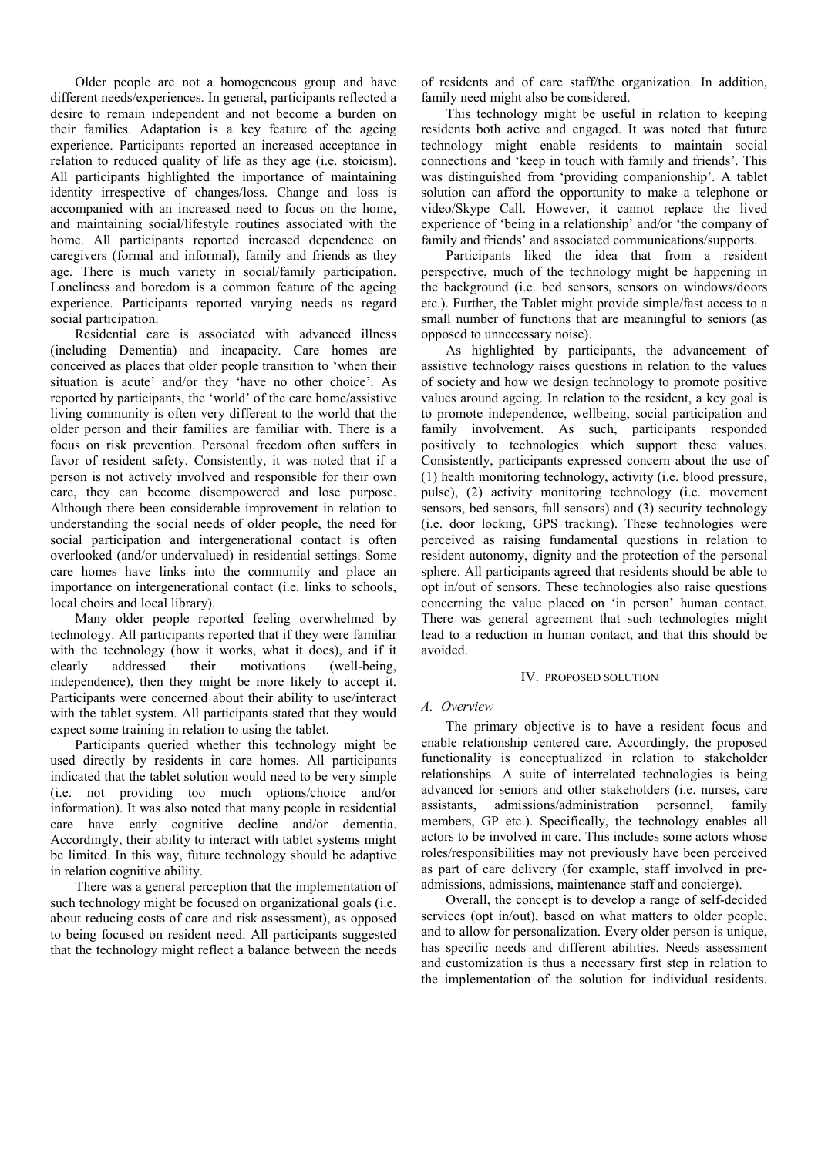Older people are not a homogeneous group and have different needs/experiences. In general, participants reflected a desire to remain independent and not become a burden on their families. Adaptation is a key feature of the ageing experience. Participants reported an increased acceptance in relation to reduced quality of life as they age (i.e. stoicism). All participants highlighted the importance of maintaining identity irrespective of changes/loss. Change and loss is accompanied with an increased need to focus on the home, and maintaining social/lifestyle routines associated with the home. All participants reported increased dependence on caregivers (formal and informal), family and friends as they age. There is much variety in social/family participation. Loneliness and boredom is a common feature of the ageing experience. Participants reported varying needs as regard social participation.

Residential care is associated with advanced illness (including Dementia) and incapacity. Care homes are conceived as places that older people transition to 'when their situation is acute' and/or they 'have no other choice'. As reported by participants, the 'world' of the care home/assistive living community is often very different to the world that the older person and their families are familiar with. There is a focus on risk prevention. Personal freedom often suffers in favor of resident safety. Consistently, it was noted that if a person is not actively involved and responsible for their own care, they can become disempowered and lose purpose. Although there been considerable improvement in relation to understanding the social needs of older people, the need for social participation and intergenerational contact is often overlooked (and/or undervalued) in residential settings. Some care homes have links into the community and place an importance on intergenerational contact (i.e. links to schools, local choirs and local library).

Many older people reported feeling overwhelmed by technology. All participants reported that if they were familiar with the technology (how it works, what it does), and if it clearly addressed their motivations (well-being, independence), then they might be more likely to accept it. Participants were concerned about their ability to use/interact with the tablet system. All participants stated that they would expect some training in relation to using the tablet.

Participants queried whether this technology might be used directly by residents in care homes. All participants indicated that the tablet solution would need to be very simple (i.e. not providing too much options/choice and/or information). It was also noted that many people in residential care have early cognitive decline and/or dementia. Accordingly, their ability to interact with tablet systems might be limited. In this way, future technology should be adaptive in relation cognitive ability.

There was a general perception that the implementation of such technology might be focused on organizational goals (i.e. about reducing costs of care and risk assessment), as opposed to being focused on resident need. All participants suggested that the technology might reflect a balance between the needs

of residents and of care staff/the organization. In addition, family need might also be considered.

This technology might be useful in relation to keeping residents both active and engaged. It was noted that future technology might enable residents to maintain social connections and 'keep in touch with family and friends'. This was distinguished from 'providing companionship'. A tablet solution can afford the opportunity to make a telephone or video/Skype Call. However, it cannot replace the lived experience of 'being in a relationship' and/or 'the company of family and friends' and associated communications/supports.

Participants liked the idea that from a resident perspective, much of the technology might be happening in the background (i.e. bed sensors, sensors on windows/doors etc.). Further, the Tablet might provide simple/fast access to a small number of functions that are meaningful to seniors (as opposed to unnecessary noise).

As highlighted by participants, the advancement of assistive technology raises questions in relation to the values of society and how we design technology to promote positive values around ageing. In relation to the resident, a key goal is to promote independence, wellbeing, social participation and family involvement. As such, participants responded positively to technologies which support these values. Consistently, participants expressed concern about the use of (1) health monitoring technology, activity (i.e. blood pressure, pulse), (2) activity monitoring technology (i.e. movement sensors, bed sensors, fall sensors) and (3) security technology (i.e. door locking, GPS tracking). These technologies were perceived as raising fundamental questions in relation to resident autonomy, dignity and the protection of the personal sphere. All participants agreed that residents should be able to opt in/out of sensors. These technologies also raise questions concerning the value placed on 'in person' human contact. There was general agreement that such technologies might lead to a reduction in human contact, and that this should be avoided.

#### IV. PROPOSED SOLUTION

#### *A. Overview*

The primary objective is to have a resident focus and enable relationship centered care. Accordingly, the proposed functionality is conceptualized in relation to stakeholder relationships. A suite of interrelated technologies is being advanced for seniors and other stakeholders (i.e. nurses, care assistants, admissions/administration personnel, family members, GP etc.). Specifically, the technology enables all actors to be involved in care. This includes some actors whose roles/responsibilities may not previously have been perceived as part of care delivery (for example, staff involved in preadmissions, admissions, maintenance staff and concierge).

Overall, the concept is to develop a range of self-decided services (opt in/out), based on what matters to older people, and to allow for personalization. Every older person is unique, has specific needs and different abilities. Needs assessment and customization is thus a necessary first step in relation to the implementation of the solution for individual residents.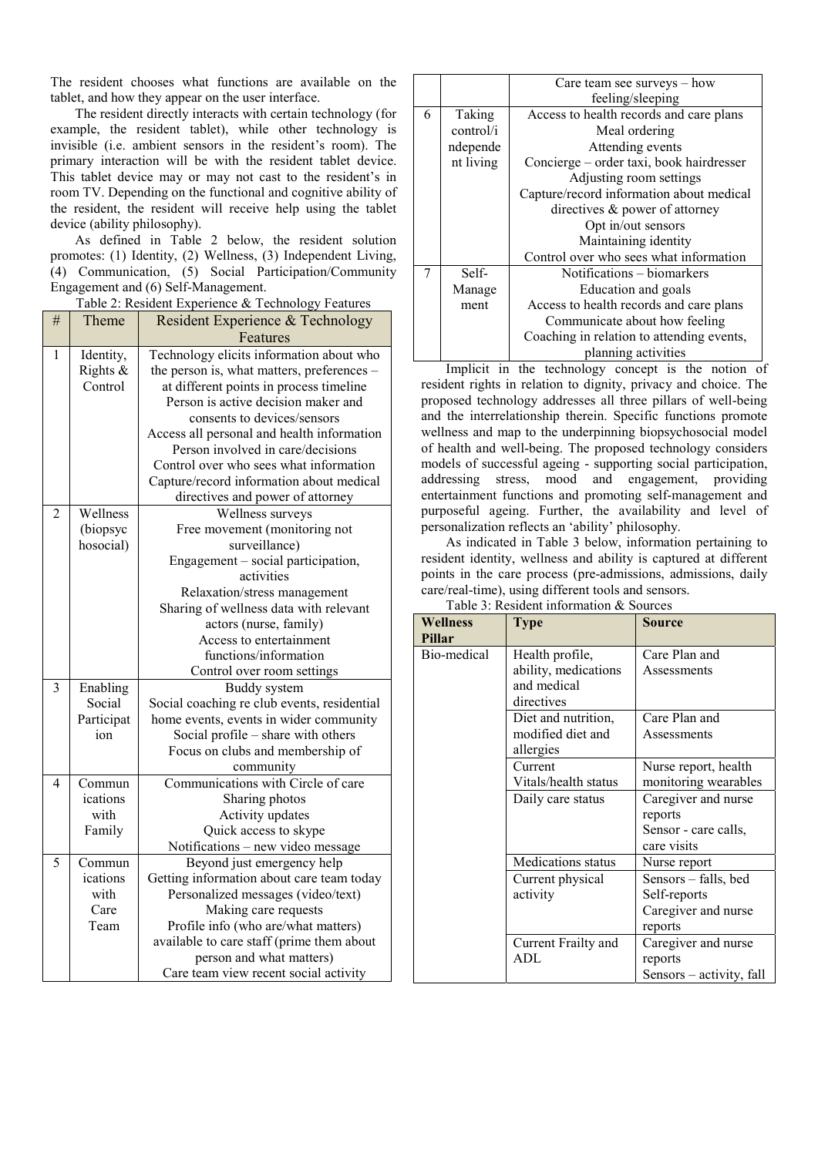The resident chooses what functions are available on the tablet, and how they appear on the user interface.

The resident directly interacts with certain technology (for example, the resident tablet), while other technology is invisible (i.e. ambient sensors in the resident's room). The primary interaction will be with the resident tablet device. This tablet device may or may not cast to the resident's in room TV. Depending on the functional and cognitive ability of the resident, the resident will receive help using the tablet device (ability philosophy).

As defined in Table 2 below, the resident solution promotes: (1) Identity, (2) Wellness, (3) Independent Living, (4) Communication, (5) Social Participation/Community Engagement and (6) Self-Management.

Table 2: Resident Experience & Technology Features

| #              | Theme      | Resident Experience & Technology            |  |
|----------------|------------|---------------------------------------------|--|
|                |            | Features                                    |  |
| 1              | Identity,  | Technology elicits information about who    |  |
|                | Rights &   | the person is, what matters, preferences -  |  |
|                | Control    | at different points in process timeline     |  |
|                |            | Person is active decision maker and         |  |
|                |            | consents to devices/sensors                 |  |
|                |            | Access all personal and health information  |  |
|                |            | Person involved in care/decisions           |  |
|                |            | Control over who sees what information      |  |
|                |            | Capture/record information about medical    |  |
|                |            | directives and power of attorney            |  |
| $\overline{2}$ | Wellness   | Wellness surveys                            |  |
|                | (biopsyc   | Free movement (monitoring not               |  |
|                | hosocial)  | surveillance)                               |  |
|                |            | Engagement - social participation,          |  |
|                |            | activities                                  |  |
|                |            | Relaxation/stress management                |  |
|                |            | Sharing of wellness data with relevant      |  |
|                |            | actors (nurse, family)                      |  |
|                |            | Access to entertainment                     |  |
|                |            | functions/information                       |  |
|                |            | Control over room settings                  |  |
| 3              | Enabling   | <b>Buddy</b> system                         |  |
|                | Social     | Social coaching re club events, residential |  |
|                | Participat | home events, events in wider community      |  |
|                | ion        | Social profile - share with others          |  |
|                |            | Focus on clubs and membership of            |  |
|                |            | community                                   |  |
| $\overline{4}$ | Commun     | Communications with Circle of care          |  |
|                | ications   | Sharing photos                              |  |
|                | with       | Activity updates                            |  |
|                | Family     | Quick access to skype                       |  |
|                |            | Notifications - new video message           |  |
| 5              | Commun     | Beyond just emergency help                  |  |
|                | ications   | Getting information about care team today   |  |
|                | with       | Personalized messages (video/text)          |  |
|                | Care       | Making care requests                        |  |
|                | Team       | Profile info (who are/what matters)         |  |
|                |            | available to care staff (prime them about   |  |
|                |            | person and what matters)                    |  |
|                |            | Care team view recent social activity       |  |

|   |           | Care team see surveys – how               |  |
|---|-----------|-------------------------------------------|--|
|   |           | feeling/sleeping                          |  |
| 6 | Taking    | Access to health records and care plans   |  |
|   | control/i | Meal ordering                             |  |
|   | ndepende  | Attending events                          |  |
|   | nt living | Concierge - order taxi, book hairdresser  |  |
|   |           | Adjusting room settings                   |  |
|   |           | Capture/record information about medical  |  |
|   |           | directives & power of attorney            |  |
|   |           | Opt in/out sensors                        |  |
|   |           | Maintaining identity                      |  |
|   |           | Control over who sees what information    |  |
| 7 | Self-     | Notifications – biomarkers                |  |
|   | Manage    | Education and goals                       |  |
|   | ment      | Access to health records and care plans   |  |
|   |           | Communicate about how feeling             |  |
|   |           | Coaching in relation to attending events, |  |
|   |           | planning activities                       |  |

Implicit in the technology concept is the notion of resident rights in relation to dignity, privacy and choice. The proposed technology addresses all three pillars of well-being and the interrelationship therein. Specific functions promote wellness and map to the underpinning biopsychosocial model of health and well-being. The proposed technology considers models of successful ageing - supporting social participation, addressing stress, mood and engagement, providing entertainment functions and promoting self-management and purposeful ageing. Further, the availability and level of personalization reflects an 'ability' philosophy.

As indicated in Table 3 below, information pertaining to resident identity, wellness and ability is captured at different points in the care process (pre-admissions, admissions, daily care/real-time), using different tools and sensors.

| <b>Wellness</b><br>Pillar | <b>Type</b>                                                          | <b>Source</b>                                                          |
|---------------------------|----------------------------------------------------------------------|------------------------------------------------------------------------|
| Bio-medical               | Health profile,<br>ability, medications<br>and medical<br>directives | Care Plan and<br>Assessments                                           |
|                           | Diet and nutrition,<br>modified diet and<br>allergies                | Care Plan and<br>Assessments                                           |
|                           | Current<br>Vitals/health status                                      | Nurse report, health<br>monitoring wearables                           |
|                           | Daily care status                                                    | Caregiver and nurse<br>reports<br>Sensor - care calls,<br>care visits  |
|                           | Medications status                                                   | Nurse report                                                           |
|                           | Current physical<br>activity                                         | Sensors – falls, bed<br>Self-reports<br>Caregiver and nurse<br>reports |
|                           | Current Frailty and<br>ADL                                           | Caregiver and nurse<br>reports<br>Sensors – activity, fall             |

Table 3: Resident information & Sources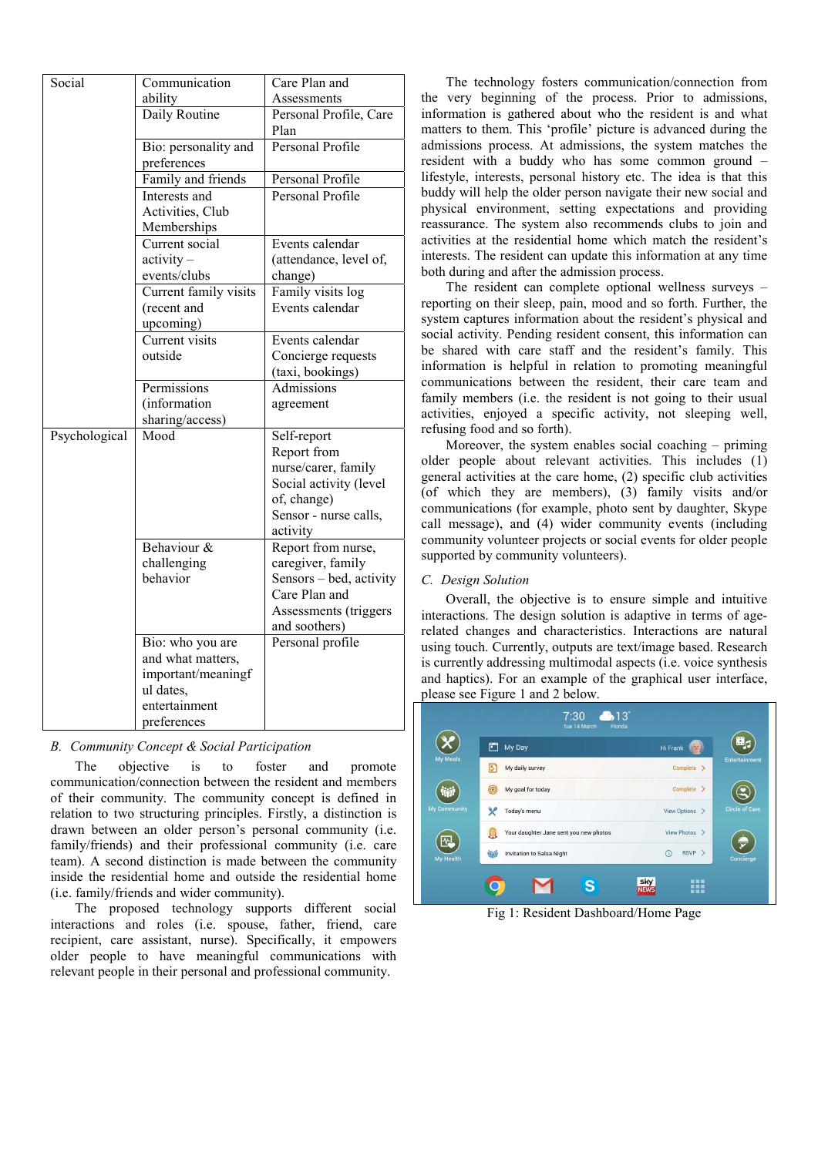| Social        | Communication         | Care Plan and           |
|---------------|-----------------------|-------------------------|
|               | ability               | Assessments             |
|               | Daily Routine         | Personal Profile, Care  |
|               |                       | Plan                    |
|               | Bio: personality and  | <b>Personal Profile</b> |
|               | preferences           |                         |
|               | Family and friends    | Personal Profile        |
|               | Interests and         | Personal Profile        |
|               | Activities, Club      |                         |
|               | Memberships           |                         |
|               | Current social        | Events calendar         |
|               | $activity -$          | (attendance, level of,  |
|               | events/clubs          | change)                 |
|               | Current family visits | Family visits log       |
|               | (recent and           | Events calendar         |
|               | upcoming)             |                         |
|               | Current visits        | Events calendar         |
|               | outside               | Concierge requests      |
|               |                       | (taxi, bookings)        |
|               | Permissions           | Admissions              |
|               | (information          | agreement               |
|               | sharing/access)       |                         |
| Psychological | Mood                  | Self-report             |
|               |                       | Report from             |
|               |                       | nurse/carer, family     |
|               |                       | Social activity (level  |
|               |                       | of, change)             |
|               |                       | Sensor - nurse calls,   |
|               |                       | activity                |
|               | Behaviour &           | Report from nurse,      |
|               | challenging           | caregiver, family       |
|               | behavior              | Sensors – bed, activity |
|               |                       | Care Plan and           |
|               |                       | Assessments (triggers   |
|               |                       | and soothers)           |
|               | Bio: who you are      | Personal profile        |
|               | and what matters,     |                         |
|               | important/meaningf    |                         |
|               | ul dates,             |                         |
|               | entertainment         |                         |
|               | preferences           |                         |

## *B. Community Concept & Social Participation*

The objective is to foster and promote communication/connection between the resident and members of their community. The community concept is defined in relation to two structuring principles. Firstly, a distinction is drawn between an older person's personal community (i.e. family/friends) and their professional community (i.e. care team). A second distinction is made between the community inside the residential home and outside the residential home (i.e. family/friends and wider community).

The proposed technology supports different social interactions and roles (i.e. spouse, father, friend, care recipient, care assistant, nurse). Specifically, it empowers older people to have meaningful communications with relevant people in their personal and professional community.

The technology fosters communication/connection from the very beginning of the process. Prior to admissions, information is gathered about who the resident is and what matters to them. This 'profile' picture is advanced during the admissions process. At admissions, the system matches the resident with a buddy who has some common ground – lifestyle, interests, personal history etc. The idea is that this buddy will help the older person navigate their new social and physical environment, setting expectations and providing reassurance. The system also recommends clubs to join and activities at the residential home which match the resident's interests. The resident can update this information at any time both during and after the admission process.

The resident can complete optional wellness surveys – reporting on their sleep, pain, mood and so forth. Further, the system captures information about the resident's physical and social activity. Pending resident consent, this information can be shared with care staff and the resident's family. This information is helpful in relation to promoting meaningful communications between the resident, their care team and family members (i.e. the resident is not going to their usual activities, enjoyed a specific activity, not sleeping well, refusing food and so forth).

Moreover, the system enables social coaching – priming older people about relevant activities. This includes (1) general activities at the care home, (2) specific club activities (of which they are members), (3) family visits and/or communications (for example, photo sent by daughter, Skype call message), and (4) wider community events (including community volunteer projects or social events for older people supported by community volunteers).

## *C. Design Solution*

Overall, the objective is to ensure simple and intuitive interactions. The design solution is adaptive in terms of agerelated changes and characteristics. Interactions are natural using touch. Currently, outputs are text/image based. Research is currently addressing multimodal aspects (i.e. voice synthesis and haptics). For an example of the graphical user interface, please see Figure 1 and 2 below.



Fig 1: Resident Dashboard/Home Page